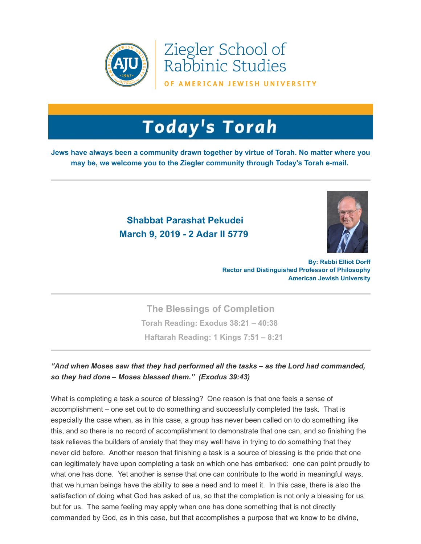

Ziegler School of Rabbinic Studies

OF AMERICAN JEWISH UNIVERSITY

## **Today's Torah**

**Jews have always been a community drawn together by virtue of Torah. No matter where you may be, we welcome you to the Ziegler community through Today's Torah e-mail.**

## **Shabbat Parashat Pekudei March 9, 2019 - 2 Adar II 5779**



**By: Rabbi Elliot Dorff Rector and Distinguished Professor of Philosophy American Jewish University**

**The Blessings of Completion Torah Reading: [Exodus 38:21 – 40:38](https://t.e2ma.net/click/8n847/sziwr0/waqw6i)  Haftarah Reading: [1 Kings 7:51 – 8:21](https://t.e2ma.net/click/8n847/sziwr0/c3qw6i)**

## *"And when Moses saw that they had performed all the tasks – as the Lord had commanded, so they had done – Moses blessed them." (Exodus 39:43)*

What is completing a task a source of blessing? One reason is that one feels a sense of accomplishment – one set out to do something and successfully completed the task. That is especially the case when, as in this case, a group has never been called on to do something like this, and so there is no record of accomplishment to demonstrate that one can, and so finishing the task relieves the builders of anxiety that they may well have in trying to do something that they never did before. Another reason that finishing a task is a source of blessing is the pride that one can legitimately have upon completing a task on which one has embarked: one can point proudly to what one has done. Yet another is sense that one can contribute to the world in meaningful ways, that we human beings have the ability to see a need and to meet it. In this case, there is also the satisfaction of doing what God has asked of us, so that the completion is not only a blessing for us but for us. The same feeling may apply when one has done something that is not directly commanded by God, as in this case, but that accomplishes a purpose that we know to be divine,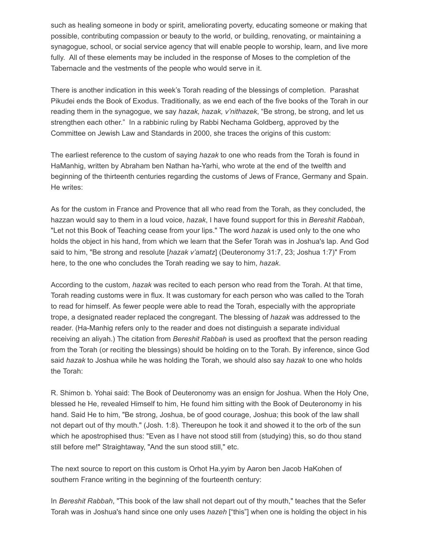such as healing someone in body or spirit, ameliorating poverty, educating someone or making that possible, contributing compassion or beauty to the world, or building, renovating, or maintaining a synagogue, school, or social service agency that will enable people to worship, learn, and live more fully. All of these elements may be included in the response of Moses to the completion of the Tabernacle and the vestments of the people who would serve in it.

There is another indication in this week's Torah reading of the blessings of completion. Parashat Pikudei ends the Book of Exodus. Traditionally, as we end each of the five books of the Torah in our reading them in the synagogue, we say *hazak, hazak, v'nithazek*, "Be strong, be strong, and let us strengthen each other." In a rabbinic ruling by Rabbi Nechama Goldberg, approved by the Committee on Jewish Law and Standards in 2000, she traces the origins of this custom:

The earliest reference to the custom of saying *hazak* to one who reads from the Torah is found in HaManhig, written by Abraham ben Nathan ha-Yarhi, who wrote at the end of the twelfth and beginning of the thirteenth centuries regarding the customs of Jews of France, Germany and Spain. He writes:

As for the custom in France and Provence that all who read from the Torah, as they concluded, the hazzan would say to them in a loud voice, *hazak*, I have found support for this in *Bereshit Rabbah*, "Let not this Book of Teaching cease from your lips." The word *hazak* is used only to the one who holds the object in his hand, from which we learn that the Sefer Torah was in Joshua's lap. And God said to him, "Be strong and resolute [*hazak v'amatz*] (Deuteronomy 31:7, 23; Joshua 1:7)" From here, to the one who concludes the Torah reading we say to him, *hazak*.

According to the custom, *hazak* was recited to each person who read from the Torah. At that time, Torah reading customs were in flux. It was customary for each person who was called to the Torah to read for himself. As fewer people were able to read the Torah, especially with the appropriate trope, a designated reader replaced the congregant. The blessing of *hazak* was addressed to the reader. (Ha-Manhig refers only to the reader and does not distinguish a separate individual receiving an aliyah.) The citation from *Bereshit Rabbah* is used as prooftext that the person reading from the Torah (or reciting the blessings) should be holding on to the Torah. By inference, since God said *hazak* to Joshua while he was holding the Torah, we should also say *hazak* to one who holds the Torah:

R. Shimon b. Yohai said: The Book of Deuteronomy was an ensign for Joshua. When the Holy One, blessed he He, revealed Himself to him, He found him sitting with the Book of Deuteronomy in his hand. Said He to him, "Be strong, Joshua, be of good courage, Joshua; this book of the law shall not depart out of thy mouth." (Josh. 1:8). Thereupon he took it and showed it to the orb of the sun which he apostrophised thus: "Even as I have not stood still from (studying) this, so do thou stand still before me!" Straightaway, "And the sun stood still," etc.

The next source to report on this custom is Orhot Ha.yyim by Aaron ben Jacob HaKohen of southern France writing in the beginning of the fourteenth century:

In *Bereshit Rabbah*, "This book of the law shall not depart out of thy mouth," teaches that the Sefer Torah was in Joshua's hand since one only uses *hazeh* ["this"] when one is holding the object in his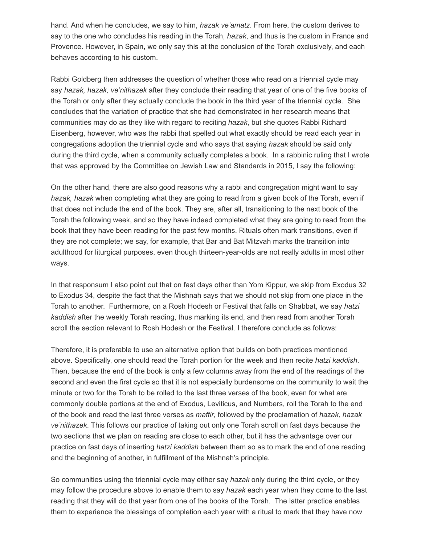hand. And when he concludes, we say to him, *hazak ve'amatz*. From here, the custom derives to say to the one who concludes his reading in the Torah, *hazak*, and thus is the custom in France and Provence. However, in Spain, we only say this at the conclusion of the Torah exclusively, and each behaves according to his custom.

Rabbi Goldberg then addresses the question of whether those who read on a triennial cycle may say *hazak, hazak, ve'nithazek* after they conclude their reading that year of one of the five books of the Torah or only after they actually conclude the book in the third year of the triennial cycle. She concludes that the variation of practice that she had demonstrated in her research means that communities may do as they like with regard to reciting *hazak*, but she quotes Rabbi Richard Eisenberg, however, who was the rabbi that spelled out what exactly should be read each year in congregations adoption the triennial cycle and who says that saying *hazak* should be said only during the third cycle, when a community actually completes a book. In a rabbinic ruling that I wrote that was approved by the Committee on Jewish Law and Standards in 2015, I say the following:

On the other hand, there are also good reasons why a rabbi and congregation might want to say *hazak, hazak* when completing what they are going to read from a given book of the Torah, even if that does not include the end of the book. They are, after all, transitioning to the next book of the Torah the following week, and so they have indeed completed what they are going to read from the book that they have been reading for the past few months. Rituals often mark transitions, even if they are not complete; we say, for example, that Bar and Bat Mitzvah marks the transition into adulthood for liturgical purposes, even though thirteen-year-olds are not really adults in most other ways.

In that responsum I also point out that on fast days other than Yom Kippur, we skip from Exodus 32 to Exodus 34, despite the fact that the Mishnah says that we should not skip from one place in the Torah to another. Furthermore, on a Rosh Hodesh or Festival that falls on Shabbat, we say *hatzi kaddish* after the weekly Torah reading, thus marking its end, and then read from another Torah scroll the section relevant to Rosh Hodesh or the Festival. I therefore conclude as follows:

Therefore, it is preferable to use an alternative option that builds on both practices mentioned above. Specifically, one should read the Torah portion for the week and then recite *hatzi kaddish*. Then, because the end of the book is only a few columns away from the end of the readings of the second and even the first cycle so that it is not especially burdensome on the community to wait the minute or two for the Torah to be rolled to the last three verses of the book, even for what are commonly double portions at the end of Exodus, Leviticus, and Numbers, roll the Torah to the end of the book and read the last three verses as *maftir*, followed by the proclamation of *hazak, hazak ve'nithazek*. This follows our practice of taking out only one Torah scroll on fast days because the two sections that we plan on reading are close to each other, but it has the advantage over our practice on fast days of inserting *hatzi kaddish* between them so as to mark the end of one reading and the beginning of another, in fulfillment of the Mishnah's principle.

So communities using the triennial cycle may either say *hazak* only during the third cycle, or they may follow the procedure above to enable them to say *hazak* each year when they come to the last reading that they will do that year from one of the books of the Torah. The latter practice enables them to experience the blessings of completion each year with a ritual to mark that they have now